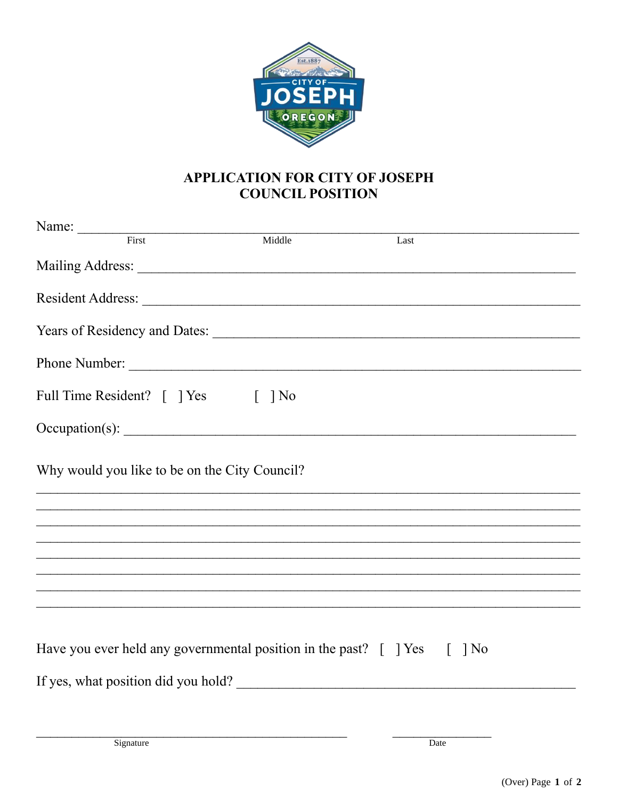

## **APPLICATION FOR CITY OF JOSEPH COUNCIL POSITION**

| Name: First                                                                                       | Middle | Last   |  |
|---------------------------------------------------------------------------------------------------|--------|--------|--|
|                                                                                                   |        |        |  |
|                                                                                                   |        |        |  |
|                                                                                                   |        |        |  |
|                                                                                                   |        |        |  |
| Full Time Resident? [ ] Yes [ ] No                                                                |        |        |  |
|                                                                                                   |        |        |  |
| Why would you like to be on the City Council?                                                     |        |        |  |
|                                                                                                   |        |        |  |
|                                                                                                   |        |        |  |
|                                                                                                   |        |        |  |
|                                                                                                   |        |        |  |
|                                                                                                   |        |        |  |
| Have you ever held any governmental position in the past? $\lceil \ \rceil$ Yes $\lceil \ \rceil$ |        | $\log$ |  |
| If yes, what position did you hold?                                                               |        |        |  |
|                                                                                                   |        |        |  |
| Signature                                                                                         |        | Date   |  |